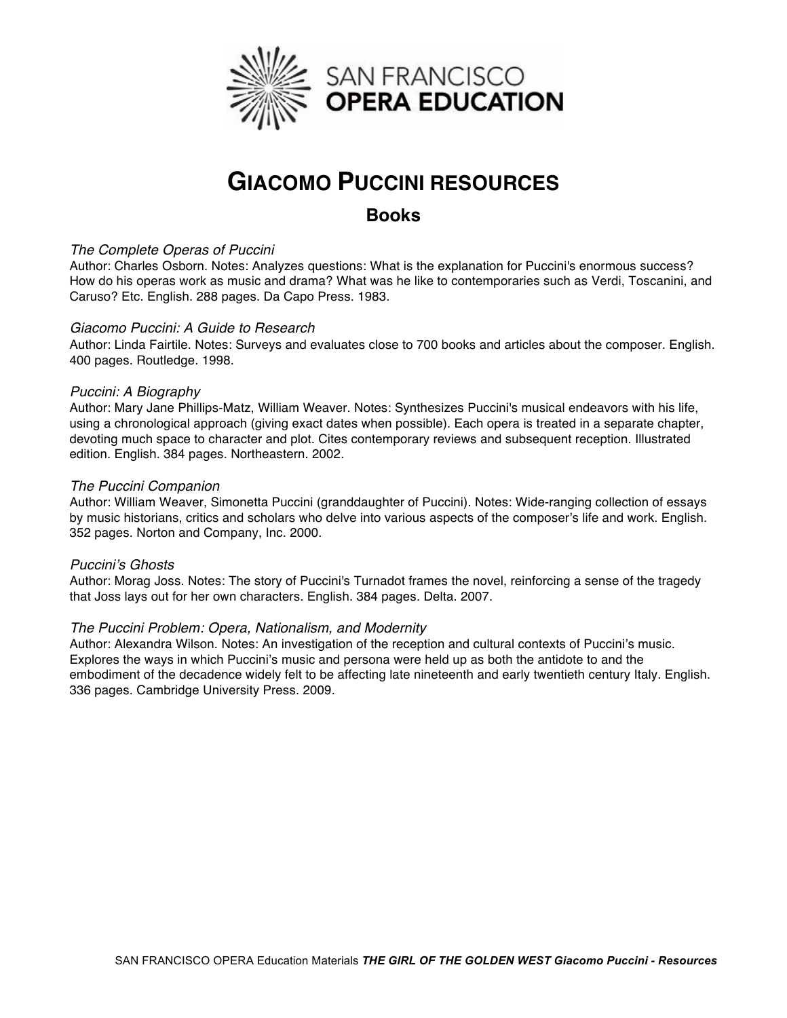

# **GIACOMO PUCCINI RESOURCES**

### **Books**

#### *The Complete Operas of Puccini*

Author: Charles Osborn. Notes: Analyzes questions: What is the explanation for Puccini's enormous success? How do his operas work as music and drama? What was he like to contemporaries such as Verdi, Toscanini, and Caruso? Etc. English. 288 pages. Da Capo Press. 1983.

#### *Giacomo Puccini: A Guide to Research*

Author: Linda Fairtile. Notes: Surveys and evaluates close to 700 books and articles about the composer. English. 400 pages. Routledge. 1998.

#### *Puccini: A Biography*

Author: Mary Jane Phillips-Matz, William Weaver. Notes: Synthesizes Puccini's musical endeavors with his life, using a chronological approach (giving exact dates when possible). Each opera is treated in a separate chapter, devoting much space to character and plot. Cites contemporary reviews and subsequent reception. Illustrated edition. English. 384 pages. Northeastern. 2002.

#### *The Puccini Companion*

Author: William Weaver, Simonetta Puccini (granddaughter of Puccini). Notes: Wide-ranging collection of essays by music historians, critics and scholars who delve into various aspects of the composer's life and work. English. 352 pages. Norton and Company, Inc. 2000.

#### *Puccini*'*s Ghosts*

Author: Morag Joss. Notes: The story of Puccini's Turnadot frames the novel, reinforcing a sense of the tragedy that Joss lays out for her own characters. English. 384 pages. Delta. 2007.

#### *The Puccini Problem: Opera, Nationalism, and Modernity*

Author: Alexandra Wilson. Notes: An investigation of the reception and cultural contexts of Puccini's music. Explores the ways in which Puccini's music and persona were held up as both the antidote to and the embodiment of the decadence widely felt to be affecting late nineteenth and early twentieth century Italy. English. 336 pages. Cambridge University Press. 2009.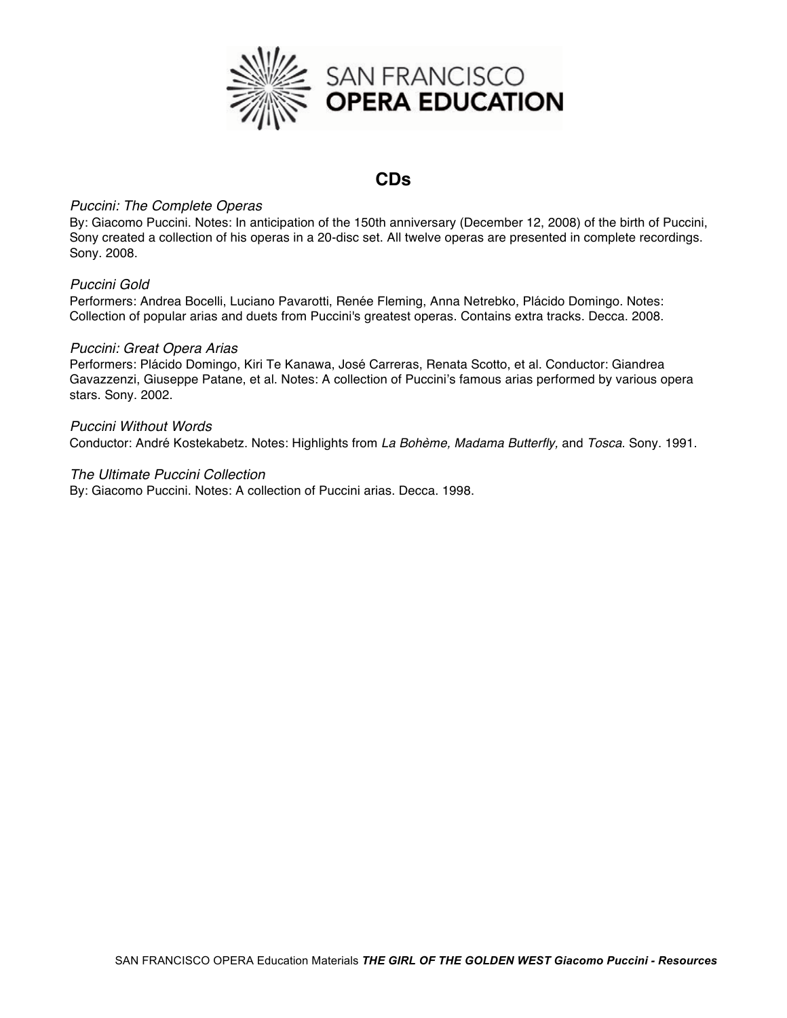

## **CDs**

#### *Puccini: The Complete Operas*

By: Giacomo Puccini. Notes: In anticipation of the 150th anniversary (December 12, 2008) of the birth of Puccini, Sony created a collection of his operas in a 20-disc set. All twelve operas are presented in complete recordings. Sony. 2008.

#### *Puccini Gold*

Performers: Andrea Bocelli, Luciano Pavarotti, Renée Fleming, Anna Netrebko, Plácido Domingo. Notes: Collection of popular arias and duets from Puccini's greatest operas. Contains extra tracks. Decca. 2008.

#### *Puccini: Great Opera Arias*

Performers: Plácido Domingo, Kiri Te Kanawa, José Carreras, Renata Scotto, et al. Conductor: Giandrea Gavazzenzi, Giuseppe Patane, et al. Notes: A collection of Puccini's famous arias performed by various opera stars. Sony. 2002.

*Puccini Without Words*  Conductor: André Kostekabetz. Notes: Highlights from *La Bohème, Madama Butterfly,* and *Tosca*. Sony. 1991.

#### *The Ultimate Puccini Collection*

By: Giacomo Puccini. Notes: A collection of Puccini arias. Decca. 1998.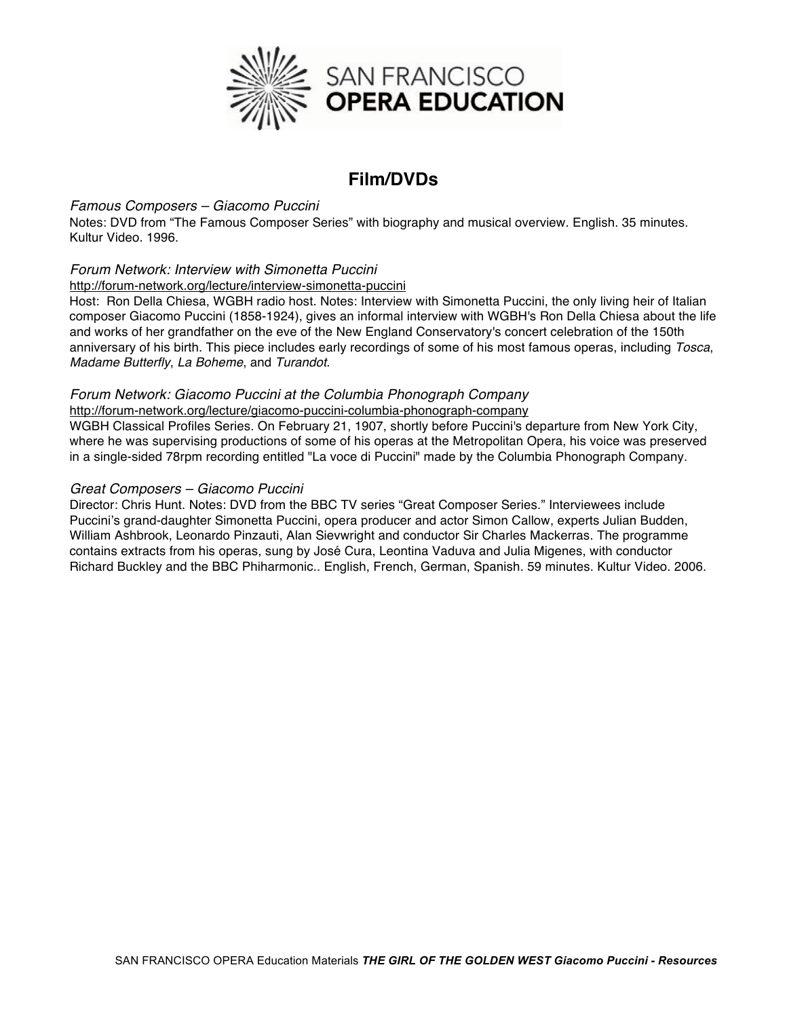

# **Film/DVDs**

#### *Famous Composers – Giacomo Puccini*

Notes: DVD from "The Famous Composer Series" with biography and musical overview. English. 35 minutes. Kultur Video. 1996.

#### *Forum Network: Interview with Simonetta Puccini*

#### http://forum-network.org/lecture/interview-simonetta-puccini

Host: Ron Della Chiesa, WGBH radio host. Notes: Interview with Simonetta Puccini, the only living heir of Italian composer Giacomo Puccini (1858-1924), gives an informal interview with WGBH's Ron Della Chiesa about the life and works of her grandfather on the eve of the New England Conservatory's concert celebration of the 150th anniversary of his birth. This piece includes early recordings of some of his most famous operas, including *Tosca*, *Madame Butterfly*, *La Boheme*, and *Turandot*.

#### *Forum Network: Giacomo Puccini at the Columbia Phonograph Company*

http://forum-network.org/lecture/giacomo-puccini-columbia-phonograph-company WGBH Classical Profiles Series. On February 21, 1907, shortly before Puccini's departure from New York City, where he was supervising productions of some of his operas at the Metropolitan Opera, his voice was preserved

in a single-sided 78rpm recording entitled "La voce di Puccini" made by the Columbia Phonograph Company.

#### *Great Composers – Giacomo Puccini*

Director: Chris Hunt. Notes: DVD from the BBC TV series "Great Composer Series." Interviewees include Puccini's grand-daughter Simonetta Puccini, opera producer and actor Simon Callow, experts Julian Budden, William Ashbrook, Leonardo Pinzauti, Alan Sievwright and conductor Sir Charles Mackerras. The programme contains extracts from his operas, sung by José Cura, Leontina Vaduva and Julia Migenes, with conductor Richard Buckley and the BBC Phiharmonic.. English, French, German, Spanish. 59 minutes. Kultur Video. 2006.